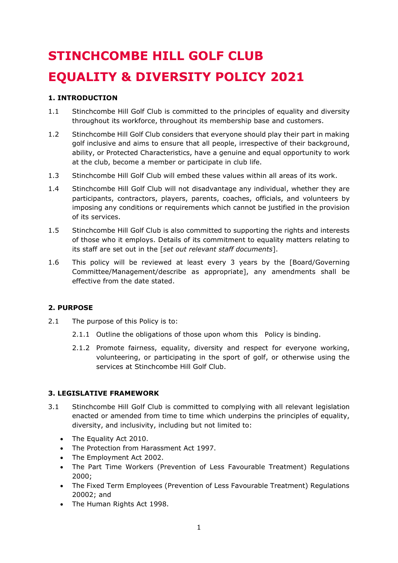# **STINCHCOMBE HILL GOLF CLUB EQUALITY & DIVERSITY POLICY 2021**

# **1. INTRODUCTION**

- 1.1 Stinchcombe Hill Golf Club is committed to the principles of equality and diversity throughout its workforce, throughout its membership base and customers.
- 1.2 Stinchcombe Hill Golf Club considers that everyone should play their part in making golf inclusive and aims to ensure that all people, irrespective of their background, ability, or Protected Characteristics, have a genuine and equal opportunity to work at the club, become a member or participate in club life.
- 1.3 Stinchcombe Hill Golf Club will embed these values within all areas of its work.
- 1.4 Stinchcombe Hill Golf Club will not disadvantage any individual, whether they are participants, contractors, players, parents, coaches, officials, and volunteers by imposing any conditions or requirements which cannot be justified in the provision of its services.
- 1.5 Stinchcombe Hill Golf Club is also committed to supporting the rights and interests of those who it employs. Details of its commitment to equality matters relating to its staff are set out in the [*set out relevant staff documents*].
- 1.6 This policy will be reviewed at least every 3 years by the [Board/Governing Committee/Management/describe as appropriate], any amendments shall be effective from the date stated.

## **2. PURPOSE**

- 2.1 The purpose of this Policy is to:
	- 2.1.1 Outline the obligations of those upon whom this Policy is binding.
	- 2.1.2 Promote fairness, equality, diversity and respect for everyone working, volunteering, or participating in the sport of golf, or otherwise using the services at Stinchcombe Hill Golf Club.

## **3. LEGISLATIVE FRAMEWORK**

- 3.1 Stinchcombe Hill Golf Club is committed to complying with all relevant legislation enacted or amended from time to time which underpins the principles of equality, diversity, and inclusivity, including but not limited to:
	- The Equality Act 2010.
	- The Protection from Harassment Act 1997.
	- The Employment Act 2002.
	- The Part Time Workers (Prevention of Less Favourable Treatment) Regulations 2000;
	- The Fixed Term Employees (Prevention of Less Favourable Treatment) Regulations 20002; and
	- The Human Rights Act 1998.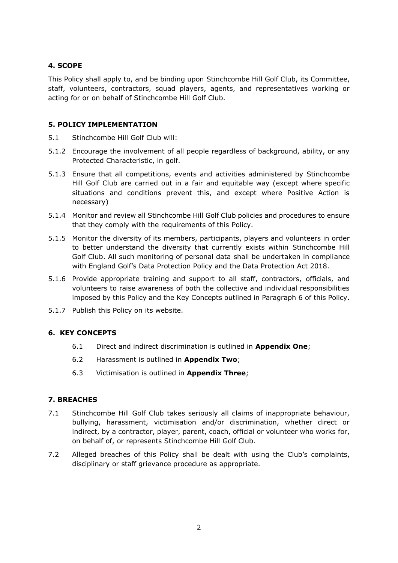# **4. SCOPE**

This Policy shall apply to, and be binding upon Stinchcombe Hill Golf Club, its Committee, staff, volunteers, contractors, squad players, agents, and representatives working or acting for or on behalf of Stinchcombe Hill Golf Club.

## **5. POLICY IMPLEMENTATION**

- 5.1 Stinchcombe Hill Golf Club will:
- 5.1.2 Encourage the involvement of all people regardless of background, ability, or any Protected Characteristic, in golf.
- 5.1.3 Ensure that all competitions, events and activities administered by Stinchcombe Hill Golf Club are carried out in a fair and equitable way (except where specific situations and conditions prevent this, and except where Positive Action is necessary)
- 5.1.4 Monitor and review all Stinchcombe Hill Golf Club policies and procedures to ensure that they comply with the requirements of this Policy.
- 5.1.5 Monitor the diversity of its members, participants, players and volunteers in order to better understand the diversity that currently exists within Stinchcombe Hill Golf Club. All such monitoring of personal data shall be undertaken in compliance with England Golf's Data Protection Policy and the Data Protection Act 2018.
- 5.1.6 Provide appropriate training and support to all staff, contractors, officials, and volunteers to raise awareness of both the collective and individual responsibilities imposed by this Policy and the Key Concepts outlined in Paragraph 6 of this Policy.
- 5.1.7 Publish this Policy on its website.

# **6. KEY CONCEPTS**

- 6.1 Direct and indirect discrimination is outlined in **Appendix One**;
- 6.2 Harassment is outlined in **Appendix Two**;
- 6.3 Victimisation is outlined in **Appendix Three**;

## **7. BREACHES**

- 7.1 Stinchcombe Hill Golf Club takes seriously all claims of inappropriate behaviour, bullying, harassment, victimisation and/or discrimination, whether direct or indirect, by a contractor, player, parent, coach, official or volunteer who works for, on behalf of, or represents Stinchcombe Hill Golf Club.
- 7.2 Alleged breaches of this Policy shall be dealt with using the Club's complaints, disciplinary or staff grievance procedure as appropriate.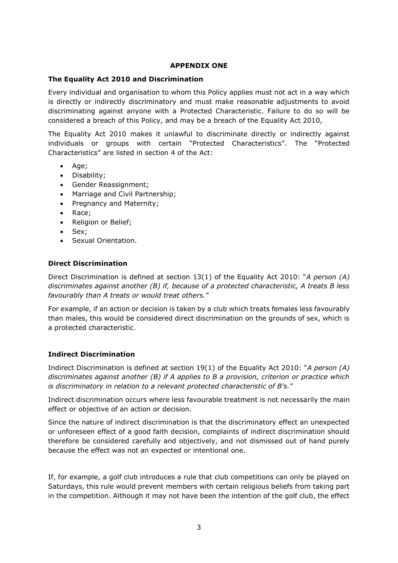#### **APPENDIX ONE**

#### **The Equality Act 2010 and Discrimination**

Every individual and organisation to whom this Policy applies must not act in a way which is directly or indirectly discriminatory and must make reasonable adjustments to avoid discriminating against anyone with a Protected Characteristic. Failure to do so will be considered a breach of this Policy, and may be a breach of the Equality Act 2010,

The Equality Act 2010 makes it unlawful to discriminate directly or indirectly against individuals or groups with certain "Protected Characteristics". The "Protected Characteristics" are listed in section 4 of the Act:

- Age;
- Disability;
- Gender Reassignment;
- Marriage and Civil Partnership;
- Pregnancy and Maternity;
- Race;
- Religion or Belief;
- Sex;
- Sexual Orientation.

#### **Direct Discrimination**

Direct Discrimination is defined at section 13(1) of the Equality Act 2010: "*A person (A) discriminates against another (B) if, because of a protected characteristic, A treats B less favourably than A treats or would treat others.*"

For example, if an action or decision is taken by a club which treats females less favourably than males, this would be considered direct discrimination on the grounds of sex, which is a protected characteristic.

## **Indirect Discrimination**

Indirect Discrimination is defined at section 19(1) of the Equality Act 2010: "*A person (A) discriminates against another (B) if A applies to B a provision, criterion or practice which is discriminatory in relation to a relevant protected characteristic of B's.*"

Indirect discrimination occurs where less favourable treatment is not necessarily the main effect or objective of an action or decision.

Since the nature of indirect discrimination is that the discriminatory effect an unexpected or unforeseen effect of a good faith decision, complaints of indirect discrimination should therefore be considered carefully and objectively, and not dismissed out of hand purely because the effect was not an expected or intentional one.

If, for example, a golf club introduces a rule that club competitions can only be played on Saturdays, this rule would prevent members with certain religious beliefs from taking part in the competition. Although it may not have been the intention of the golf club, the effect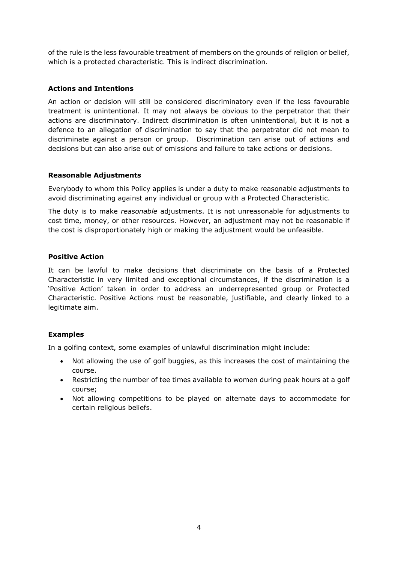of the rule is the less favourable treatment of members on the grounds of religion or belief, which is a protected characteristic. This is indirect discrimination.

# **Actions and Intentions**

An action or decision will still be considered discriminatory even if the less favourable treatment is unintentional. It may not always be obvious to the perpetrator that their actions are discriminatory. Indirect discrimination is often unintentional, but it is not a defence to an allegation of discrimination to say that the perpetrator did not mean to discriminate against a person or group. Discrimination can arise out of actions and decisions but can also arise out of omissions and failure to take actions or decisions.

## **Reasonable Adjustments**

Everybody to whom this Policy applies is under a duty to make reasonable adjustments to avoid discriminating against any individual or group with a Protected Characteristic.

The duty is to make *reasonable* adjustments. It is not unreasonable for adjustments to cost time, money, or other resources. However, an adjustment may not be reasonable if the cost is disproportionately high or making the adjustment would be unfeasible.

## **Positive Action**

It can be lawful to make decisions that discriminate on the basis of a Protected Characteristic in very limited and exceptional circumstances, if the discrimination is a 'Positive Action' taken in order to address an underrepresented group or Protected Characteristic. Positive Actions must be reasonable, justifiable, and clearly linked to a legitimate aim.

# **Examples**

In a golfing context, some examples of unlawful discrimination might include:

- Not allowing the use of golf buggies, as this increases the cost of maintaining the course.
- Restricting the number of tee times available to women during peak hours at a golf course;
- Not allowing competitions to be played on alternate days to accommodate for certain religious beliefs.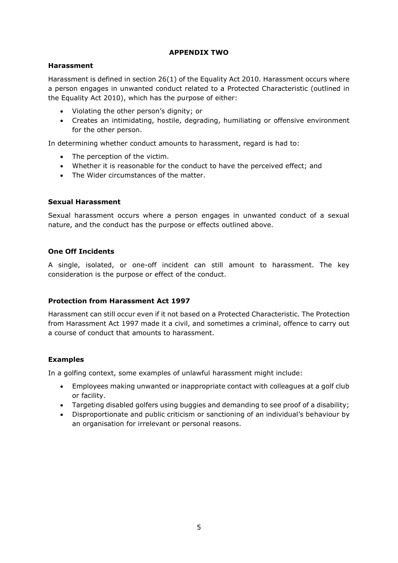## **APPENDIX TWO**

## **Harassment**

Harassment is defined in section 26(1) of the Equality Act 2010. Harassment occurs where a person engages in unwanted conduct related to a Protected Characteristic (outlined in the Equality Act 2010), which has the purpose of either:

- Violating the other person's dignity; or
- Creates an intimidating, hostile, degrading, humiliating or offensive environment for the other person.

In determining whether conduct amounts to harassment, regard is had to:

- The perception of the victim.
- Whether it is reasonable for the conduct to have the perceived effect; and
- The Wider circumstances of the matter.

## **Sexual Harassment**

Sexual harassment occurs where a person engages in unwanted conduct of a sexual nature, and the conduct has the purpose or effects outlined above.

# **One Off Incidents**

A single, isolated, or one-off incident can still amount to harassment. The key consideration is the purpose or effect of the conduct.

## **Protection from Harassment Act 1997**

Harassment can still occur even if it not based on a Protected Characteristic. The Protection from Harassment Act 1997 made it a civil, and sometimes a criminal, offence to carry out a course of conduct that amounts to harassment.

# **Examples**

In a golfing context, some examples of unlawful harassment might include:

- Employees making unwanted or inappropriate contact with colleagues at a golf club or facility.
- Targeting disabled golfers using buggies and demanding to see proof of a disability;
- Disproportionate and public criticism or sanctioning of an individual's behaviour by an organisation for irrelevant or personal reasons.